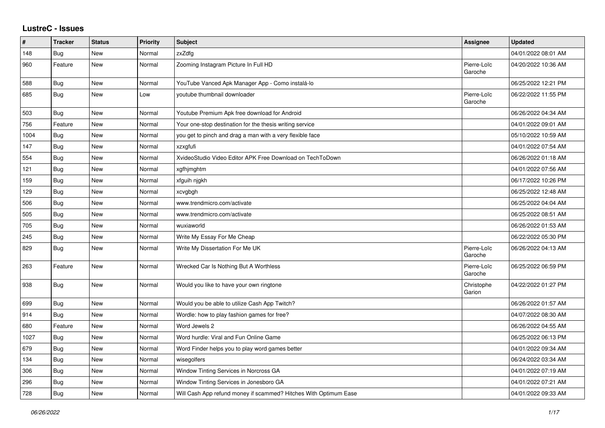## **LustreC - Issues**

| #    | <b>Tracker</b> | <b>Status</b> | <b>Priority</b> | <b>Subject</b>                                                   | Assignee               | <b>Updated</b>      |
|------|----------------|---------------|-----------------|------------------------------------------------------------------|------------------------|---------------------|
| 148  | <b>Bug</b>     | New           | Normal          | zxZdfg                                                           |                        | 04/01/2022 08:01 AM |
| 960  | Feature        | New           | Normal          | Zooming Instagram Picture In Full HD                             | Pierre-Loïc<br>Garoche | 04/20/2022 10:36 AM |
| 588  | Bug            | New           | Normal          | YouTube Vanced Apk Manager App - Como instalá-lo                 |                        | 06/25/2022 12:21 PM |
| 685  | Bug            | <b>New</b>    | Low             | youtube thumbnail downloader                                     | Pierre-Loïc<br>Garoche | 06/22/2022 11:55 PM |
| 503  | Bug            | <b>New</b>    | Normal          | Youtube Premium Apk free download for Android                    |                        | 06/26/2022 04:34 AM |
| 756  | Feature        | New           | Normal          | Your one-stop destination for the thesis writing service         |                        | 04/01/2022 09:01 AM |
| 1004 | Bug            | New           | Normal          | you get to pinch and drag a man with a very flexible face        |                        | 05/10/2022 10:59 AM |
| 147  | Bug            | <b>New</b>    | Normal          | xzxgfufi                                                         |                        | 04/01/2022 07:54 AM |
| 554  | Bug            | New           | Normal          | XvideoStudio Video Editor APK Free Download on TechToDown        |                        | 06/26/2022 01:18 AM |
| 121  | Bug            | New           | Normal          | xgfhjmghtm                                                       |                        | 04/01/2022 07:56 AM |
| 159  | Bug            | <b>New</b>    | Normal          | xfguih njgkh                                                     |                        | 06/17/2022 10:26 PM |
| 129  | Bug            | New           | Normal          | xcvgbgh                                                          |                        | 06/25/2022 12:48 AM |
| 506  | Bug            | New           | Normal          | www.trendmicro.com/activate                                      |                        | 06/25/2022 04:04 AM |
| 505  | Bug            | <b>New</b>    | Normal          | www.trendmicro.com/activate                                      |                        | 06/25/2022 08:51 AM |
| 705  | <b>Bug</b>     | New           | Normal          | wuxiaworld                                                       |                        | 06/26/2022 01:53 AM |
| 245  | <b>Bug</b>     | New           | Normal          | Write My Essay For Me Cheap                                      |                        | 06/22/2022 05:30 PM |
| 829  | <b>Bug</b>     | New           | Normal          | Write My Dissertation For Me UK                                  | Pierre-Loïc<br>Garoche | 06/26/2022 04:13 AM |
| 263  | Feature        | New           | Normal          | Wrecked Car Is Nothing But A Worthless                           | Pierre-Loïc<br>Garoche | 06/25/2022 06:59 PM |
| 938  | Bug            | New           | Normal          | Would you like to have your own ringtone                         | Christophe<br>Garion   | 04/22/2022 01:27 PM |
| 699  | Bug            | <b>New</b>    | Normal          | Would you be able to utilize Cash App Twitch?                    |                        | 06/26/2022 01:57 AM |
| 914  | <b>Bug</b>     | New           | Normal          | Wordle: how to play fashion games for free?                      |                        | 04/07/2022 08:30 AM |
| 680  | Feature        | New           | Normal          | Word Jewels 2                                                    |                        | 06/26/2022 04:55 AM |
| 1027 | Bug            | New           | Normal          | Word hurdle: Viral and Fun Online Game                           |                        | 06/25/2022 06:13 PM |
| 679  | <b>Bug</b>     | <b>New</b>    | Normal          | Word Finder helps you to play word games better                  |                        | 04/01/2022 09:34 AM |
| 134  | Bug            | New           | Normal          | wisegolfers                                                      |                        | 06/24/2022 03:34 AM |
| 306  | Bug            | <b>New</b>    | Normal          | Window Tinting Services in Norcross GA                           |                        | 04/01/2022 07:19 AM |
| 296  | Bug            | New           | Normal          | Window Tinting Services in Jonesboro GA                          |                        | 04/01/2022 07:21 AM |
| 728  | Bug            | New           | Normal          | Will Cash App refund money if scammed? Hitches With Optimum Ease |                        | 04/01/2022 09:33 AM |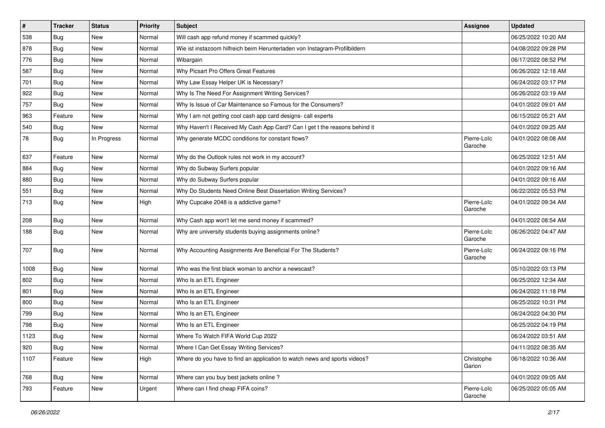| $\vert$ # | <b>Tracker</b> | <b>Status</b> | Priority | <b>Subject</b>                                                             | Assignee               | <b>Updated</b>      |
|-----------|----------------|---------------|----------|----------------------------------------------------------------------------|------------------------|---------------------|
| 538       | <b>Bug</b>     | New           | Normal   | Will cash app refund money if scammed quickly?                             |                        | 06/25/2022 10:20 AM |
| 878       | Bug            | New           | Normal   | Wie ist instazoom hilfreich beim Herunterladen von Instagram-Profilbildern |                        | 04/08/2022 09:28 PM |
| 776       | Bug            | New           | Normal   | Wibargain                                                                  |                        | 06/17/2022 08:52 PM |
| 587       | Bug            | New           | Normal   | Why Picsart Pro Offers Great Features                                      |                        | 06/26/2022 12:18 AM |
| 701       | Bug            | New           | Normal   | Why Law Essay Helper UK is Necessary?                                      |                        | 06/24/2022 03:17 PM |
| 922       | <b>Bug</b>     | New           | Normal   | Why Is The Need For Assignment Writing Services?                           |                        | 06/26/2022 03:19 AM |
| 757       | <b>Bug</b>     | New           | Normal   | Why Is Issue of Car Maintenance so Famous for the Consumers?               |                        | 04/01/2022 09:01 AM |
| 963       | Feature        | New           | Normal   | Why I am not getting cool cash app card designs- call experts              |                        | 06/15/2022 05:21 AM |
| 540       | Bug            | New           | Normal   | Why Haven't I Received My Cash App Card? Can I get t the reasons behind it |                        | 04/01/2022 09:25 AM |
| 78        | Bug            | In Progress   | Normal   | Why generate MCDC conditions for constant flows?                           | Pierre-Loïc<br>Garoche | 04/01/2022 08:08 AM |
| 637       | Feature        | New           | Normal   | Why do the Outlook rules not work in my account?                           |                        | 06/25/2022 12:51 AM |
| 884       | Bug            | New           | Normal   | Why do Subway Surfers popular                                              |                        | 04/01/2022 09:16 AM |
| 880       | <b>Bug</b>     | New           | Normal   | Why do Subway Surfers popular                                              |                        | 04/01/2022 09:16 AM |
| 551       | Bug            | New           | Normal   | Why Do Students Need Online Best Dissertation Writing Services?            |                        | 06/22/2022 05:53 PM |
| 713       | Bug            | New           | High     | Why Cupcake 2048 is a addictive game?                                      | Pierre-Loïc<br>Garoche | 04/01/2022 09:34 AM |
| 208       | Bug            | New           | Normal   | Why Cash app won't let me send money if scammed?                           |                        | 04/01/2022 08:54 AM |
| 188       | Bug            | New           | Normal   | Why are university students buying assignments online?                     | Pierre-Loïc<br>Garoche | 06/26/2022 04:47 AM |
| 707       | Bug            | New           | Normal   | Why Accounting Assignments Are Beneficial For The Students?                | Pierre-Loïc<br>Garoche | 06/24/2022 09:16 PM |
| 1008      | Bug            | New           | Normal   | Who was the first black woman to anchor a newscast?                        |                        | 05/10/2022 03:13 PM |
| 802       | Bug            | New           | Normal   | Who Is an ETL Engineer                                                     |                        | 06/25/2022 12:34 AM |
| 801       | <b>Bug</b>     | New           | Normal   | Who Is an ETL Engineer                                                     |                        | 06/24/2022 11:18 PM |
| 800       | Bug            | <b>New</b>    | Normal   | Who Is an ETL Engineer                                                     |                        | 06/25/2022 10:31 PM |
| 799       | <b>Bug</b>     | New           | Normal   | Who Is an ETL Engineer                                                     |                        | 06/24/2022 04:30 PM |
| 798       | <b>Bug</b>     | New           | Normal   | Who Is an ETL Engineer                                                     |                        | 06/25/2022 04:19 PM |
| 1123      | Bug            | New           | Normal   | Where To Watch FIFA World Cup 2022                                         |                        | 06/24/2022 03:51 AM |
| 920       | <b>Bug</b>     | New           | Normal   | Where I Can Get Essay Writing Services?                                    |                        | 04/11/2022 08:35 AM |
| 1107      | Feature        | New           | High     | Where do you have to find an application to watch news and sports videos?  | Christophe<br>Garion   | 06/18/2022 10:36 AM |
| 768       | Bug            | New           | Normal   | Where can you buy best jackets online?                                     |                        | 04/01/2022 09:05 AM |
| 793       | Feature        | New           | Urgent   | Where can I find cheap FIFA coins?                                         | Pierre-Loïc<br>Garoche | 06/25/2022 05:05 AM |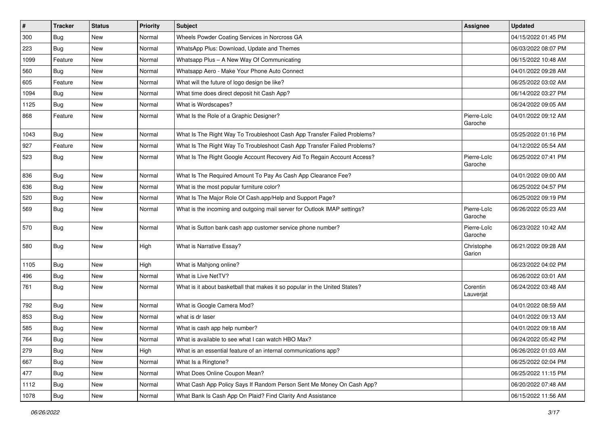| $\sharp$ | <b>Tracker</b> | <b>Status</b> | Priority | Subject                                                                    | Assignee               | <b>Updated</b>      |
|----------|----------------|---------------|----------|----------------------------------------------------------------------------|------------------------|---------------------|
| 300      | Bug            | New           | Normal   | Wheels Powder Coating Services in Norcross GA                              |                        | 04/15/2022 01:45 PM |
| 223      | Bug            | <b>New</b>    | Normal   | WhatsApp Plus: Download, Update and Themes                                 |                        | 06/03/2022 08:07 PM |
| 1099     | Feature        | New           | Normal   | Whatsapp Plus - A New Way Of Communicating                                 |                        | 06/15/2022 10:48 AM |
| 560      | Bug            | New           | Normal   | Whatsapp Aero - Make Your Phone Auto Connect                               |                        | 04/01/2022 09:28 AM |
| 605      | Feature        | New           | Normal   | What will the future of logo design be like?                               |                        | 06/25/2022 03:02 AM |
| 1094     | Bug            | New           | Normal   | What time does direct deposit hit Cash App?                                |                        | 06/14/2022 03:27 PM |
| 1125     | Bug            | New           | Normal   | What is Wordscapes?                                                        |                        | 06/24/2022 09:05 AM |
| 868      | Feature        | New           | Normal   | What Is the Role of a Graphic Designer?                                    | Pierre-Loïc<br>Garoche | 04/01/2022 09:12 AM |
| 1043     | Bug            | New           | Normal   | What Is The Right Way To Troubleshoot Cash App Transfer Failed Problems?   |                        | 05/25/2022 01:16 PM |
| 927      | Feature        | New           | Normal   | What Is The Right Way To Troubleshoot Cash App Transfer Failed Problems?   |                        | 04/12/2022 05:54 AM |
| 523      | Bug            | New           | Normal   | What Is The Right Google Account Recovery Aid To Regain Account Access?    | Pierre-Loïc<br>Garoche | 06/25/2022 07:41 PM |
| 836      | Bug            | New           | Normal   | What Is The Required Amount To Pay As Cash App Clearance Fee?              |                        | 04/01/2022 09:00 AM |
| 636      | Bug            | New           | Normal   | What is the most popular furniture color?                                  |                        | 06/25/2022 04:57 PM |
| 520      | Bug            | New           | Normal   | What Is The Major Role Of Cash.app/Help and Support Page?                  |                        | 06/25/2022 09:19 PM |
| 569      | Bug            | New           | Normal   | What is the incoming and outgoing mail server for Outlook IMAP settings?   | Pierre-Loïc<br>Garoche | 06/26/2022 05:23 AM |
| 570      | Bug            | New           | Normal   | What is Sutton bank cash app customer service phone number?                | Pierre-Loïc<br>Garoche | 06/23/2022 10:42 AM |
| 580      | Bug            | New           | High     | What is Narrative Essay?                                                   | Christophe<br>Garion   | 06/21/2022 09:28 AM |
| 1105     | Bug            | New           | High     | What is Mahjong online?                                                    |                        | 06/23/2022 04:02 PM |
| 496      | Bug            | New           | Normal   | What is Live NetTV?                                                        |                        | 06/26/2022 03:01 AM |
| 761      | Bug            | New           | Normal   | What is it about basketball that makes it so popular in the United States? | Corentin<br>Lauverjat  | 06/24/2022 03:48 AM |
| 792      | Bug            | New           | Normal   | What is Google Camera Mod?                                                 |                        | 04/01/2022 08:59 AM |
| 853      | Bug            | New           | Normal   | what is dr laser                                                           |                        | 04/01/2022 09:13 AM |
| 585      | Bug            | New           | Normal   | What is cash app help number?                                              |                        | 04/01/2022 09:18 AM |
| 764      | <b>Bug</b>     | New           | Normal   | What is available to see what I can watch HBO Max?                         |                        | 06/24/2022 05:42 PM |
| 279      | Bug            | New           | High     | What is an essential feature of an internal communications app?            |                        | 06/26/2022 01:03 AM |
| 667      | Bug            | New           | Normal   | What Is a Ringtone?                                                        |                        | 06/25/2022 02:04 PM |
| 477      | Bug            | New           | Normal   | What Does Online Coupon Mean?                                              |                        | 06/25/2022 11:15 PM |
| 1112     | Bug            | New           | Normal   | What Cash App Policy Says If Random Person Sent Me Money On Cash App?      |                        | 06/20/2022 07:48 AM |
| 1078     | Bug            | New           | Normal   | What Bank Is Cash App On Plaid? Find Clarity And Assistance                |                        | 06/15/2022 11:56 AM |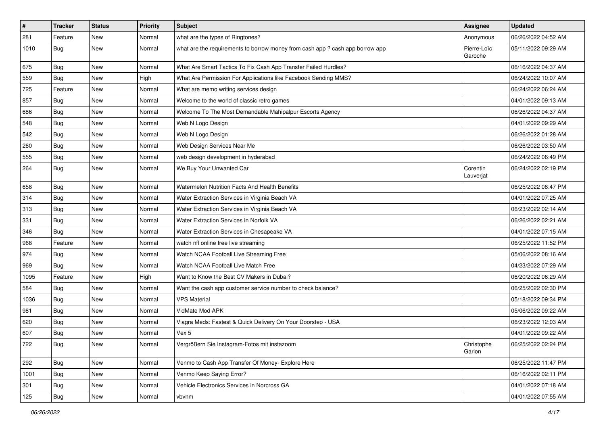| #    | <b>Tracker</b> | <b>Status</b> | <b>Priority</b> | Subject                                                                       | Assignee               | <b>Updated</b>      |
|------|----------------|---------------|-----------------|-------------------------------------------------------------------------------|------------------------|---------------------|
| 281  | Feature        | <b>New</b>    | Normal          | what are the types of Ringtones?                                              | Anonymous              | 06/26/2022 04:52 AM |
| 1010 | Bug            | New           | Normal          | what are the requirements to borrow money from cash app ? cash app borrow app | Pierre-Loïc<br>Garoche | 05/11/2022 09:29 AM |
| 675  | Bug            | New           | Normal          | What Are Smart Tactics To Fix Cash App Transfer Failed Hurdles?               |                        | 06/16/2022 04:37 AM |
| 559  | Bug            | <b>New</b>    | High            | What Are Permission For Applications like Facebook Sending MMS?               |                        | 06/24/2022 10:07 AM |
| 725  | Feature        | New           | Normal          | What are memo writing services design                                         |                        | 06/24/2022 06:24 AM |
| 857  | Bug            | New           | Normal          | Welcome to the world of classic retro games                                   |                        | 04/01/2022 09:13 AM |
| 686  | Bug            | New           | Normal          | Welcome To The Most Demandable Mahipalpur Escorts Agency                      |                        | 06/26/2022 04:37 AM |
| 548  | Bug            | New           | Normal          | Web N Logo Design                                                             |                        | 04/01/2022 09:29 AM |
| 542  | Bug            | New           | Normal          | Web N Logo Design                                                             |                        | 06/26/2022 01:28 AM |
| 260  | Bug            | New           | Normal          | Web Design Services Near Me                                                   |                        | 06/26/2022 03:50 AM |
| 555  | Bug            | New           | Normal          | web design development in hyderabad                                           |                        | 06/24/2022 06:49 PM |
| 264  | Bug            | <b>New</b>    | Normal          | We Buy Your Unwanted Car                                                      | Corentin<br>Lauverjat  | 06/24/2022 02:19 PM |
| 658  | Bug            | New           | Normal          | Watermelon Nutrition Facts And Health Benefits                                |                        | 06/25/2022 08:47 PM |
| 314  | Bug            | New           | Normal          | Water Extraction Services in Virginia Beach VA                                |                        | 04/01/2022 07:25 AM |
| 313  | Bug            | New           | Normal          | Water Extraction Services in Virginia Beach VA                                |                        | 06/23/2022 02:14 AM |
| 331  | Bug            | <b>New</b>    | Normal          | Water Extraction Services in Norfolk VA                                       |                        | 06/26/2022 02:21 AM |
| 346  | Bug            | New           | Normal          | Water Extraction Services in Chesapeake VA                                    |                        | 04/01/2022 07:15 AM |
| 968  | Feature        | New           | Normal          | watch nfl online free live streaming                                          |                        | 06/25/2022 11:52 PM |
| 974  | Bug            | <b>New</b>    | Normal          | Watch NCAA Football Live Streaming Free                                       |                        | 05/06/2022 08:16 AM |
| 969  | Bug            | New           | Normal          | Watch NCAA Football Live Match Free                                           |                        | 04/23/2022 07:29 AM |
| 1095 | Feature        | <b>New</b>    | High            | Want to Know the Best CV Makers in Dubai?                                     |                        | 06/20/2022 06:29 AM |
| 584  | Bug            | New           | Normal          | Want the cash app customer service number to check balance?                   |                        | 06/25/2022 02:30 PM |
| 1036 | Bug            | New           | Normal          | <b>VPS Material</b>                                                           |                        | 05/18/2022 09:34 PM |
| 981  | Bug            | New           | Normal          | VidMate Mod APK                                                               |                        | 05/06/2022 09:22 AM |
| 620  | Bug            | New           | Normal          | Viagra Meds: Fastest & Quick Delivery On Your Doorstep - USA                  |                        | 06/23/2022 12:03 AM |
| 607  | Bug            | New           | Normal          | Vex 5                                                                         |                        | 04/01/2022 09:22 AM |
| 722  | Bug            | New           | Normal          | Vergrößern Sie Instagram-Fotos mit instazoom                                  | Christophe<br>Garion   | 06/25/2022 02:24 PM |
| 292  | Bug            | New           | Normal          | Venmo to Cash App Transfer Of Money- Explore Here                             |                        | 06/25/2022 11:47 PM |
| 1001 | Bug            | New           | Normal          | Venmo Keep Saying Error?                                                      |                        | 06/16/2022 02:11 PM |
| 301  | <b>Bug</b>     | New           | Normal          | Vehicle Electronics Services in Norcross GA                                   |                        | 04/01/2022 07:18 AM |
| 125  | Bug            | New           | Normal          | vbvnm                                                                         |                        | 04/01/2022 07:55 AM |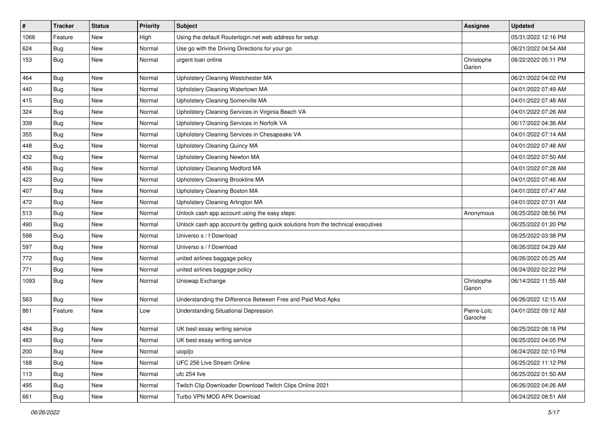| $\vert$ # | <b>Tracker</b> | <b>Status</b> | <b>Priority</b> | <b>Subject</b>                                                                   | <b>Assignee</b>        | <b>Updated</b>      |
|-----------|----------------|---------------|-----------------|----------------------------------------------------------------------------------|------------------------|---------------------|
| 1066      | Feature        | New           | High            | Using the default Routerlogin.net web address for setup                          |                        | 05/31/2022 12:16 PM |
| 624       | Bug            | New           | Normal          | Use go with the Driving Directions for your go                                   |                        | 06/21/2022 04:54 AM |
| 153       | Bug            | New           | Normal          | urgent loan online                                                               | Christophe<br>Garion   | 06/22/2022 05:11 PM |
| 464       | Bug            | New           | Normal          | Upholstery Cleaning Westchester MA                                               |                        | 06/21/2022 04:02 PM |
| 440       | <b>Bug</b>     | New           | Normal          | Upholstery Cleaning Watertown MA                                                 |                        | 04/01/2022 07:49 AM |
| 415       | <b>Bug</b>     | New           | Normal          | Upholstery Cleaning Somerville MA                                                |                        | 04/01/2022 07:48 AM |
| 324       | <b>Bug</b>     | New           | Normal          | Upholstery Cleaning Services in Virginia Beach VA                                |                        | 04/01/2022 07:26 AM |
| 339       | Bug            | New           | Normal          | Upholstery Cleaning Services in Norfolk VA                                       |                        | 06/17/2022 04:36 AM |
| 355       | Bug            | New           | Normal          | Upholstery Cleaning Services in Chesapeake VA                                    |                        | 04/01/2022 07:14 AM |
| 448       | Bug            | New           | Normal          | Upholstery Cleaning Quincy MA                                                    |                        | 04/01/2022 07:48 AM |
| 432       | Bug            | New           | Normal          | Upholstery Cleaning Newton MA                                                    |                        | 04/01/2022 07:50 AM |
| 456       | Bug            | New           | Normal          | <b>Upholstery Cleaning Medford MA</b>                                            |                        | 04/01/2022 07:28 AM |
| 423       | Bug            | New           | Normal          | Upholstery Cleaning Brookline MA                                                 |                        | 04/01/2022 07:46 AM |
| 407       | Bug            | New           | Normal          | Upholstery Cleaning Boston MA                                                    |                        | 04/01/2022 07:47 AM |
| 472       | Bug            | New           | Normal          | Upholstery Cleaning Arlington MA                                                 |                        | 04/01/2022 07:31 AM |
| 513       | Bug            | New           | Normal          | Unlock cash app account using the easy steps:                                    | Anonymous              | 06/25/2022 08:56 PM |
| 490       | Bug            | New           | Normal          | Unlock cash app account by getting quick solutions from the technical executives |                        | 06/25/2022 01:20 PM |
| 598       | Bug            | New           | Normal          | Universo s / f Download                                                          |                        | 06/25/2022 03:38 PM |
| 597       | Bug            | New           | Normal          | Universo s / f Download                                                          |                        | 06/26/2022 04:29 AM |
| 772       | Bug            | New           | Normal          | united airlines baggage policy                                                   |                        | 06/26/2022 05:25 AM |
| 771       | Bug            | New           | Normal          | united airlines baggage policy                                                   |                        | 06/24/2022 02:22 PM |
| 1093      | Bug            | New           | Normal          | Uniswap Exchange                                                                 | Christophe<br>Garion   | 06/14/2022 11:55 AM |
| 563       | Bug            | New           | Normal          | Understanding the Difference Between Free and Paid Mod Apks                      |                        | 06/26/2022 12:15 AM |
| 861       | Feature        | New           | Low             | Understanding Situational Depression                                             | Pierre-Loïc<br>Garoche | 04/01/2022 09:12 AM |
| 484       | Bug            | New           | Normal          | UK best essay writing service                                                    |                        | 06/25/2022 08:18 PM |
| 483       | Bug            | New           | Normal          | UK best essay writing service                                                    |                        | 06/25/2022 04:05 PM |
| 200       | Bug            | New           | Normal          | uiopi[o                                                                          |                        | 06/24/2022 02:10 PM |
| 168       | Bug            | New           | Normal          | UFC 256 Live Stream Online                                                       |                        | 06/25/2022 11:12 PM |
| 113       | Bug            | New           | Normal          | ufc 254 live                                                                     |                        | 06/25/2022 01:50 AM |
| 495       | Bug            | New           | Normal          | Twitch Clip Downloader Download Twitch Clips Online 2021                         |                        | 06/26/2022 04:26 AM |
| 661       | <b>Bug</b>     | New           | Normal          | Turbo VPN MOD APK Download                                                       |                        | 06/24/2022 08:51 AM |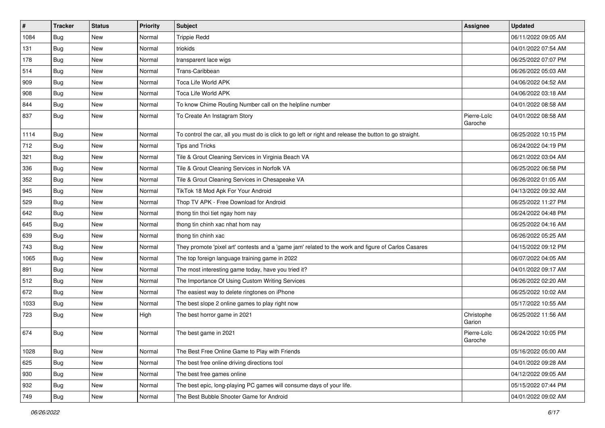| $\vert$ # | <b>Tracker</b> | <b>Status</b> | <b>Priority</b> | <b>Subject</b>                                                                                          | Assignee               | <b>Updated</b>      |
|-----------|----------------|---------------|-----------------|---------------------------------------------------------------------------------------------------------|------------------------|---------------------|
| 1084      | <b>Bug</b>     | New           | Normal          | <b>Trippie Redd</b>                                                                                     |                        | 06/11/2022 09:05 AM |
| 131       | Bug            | New           | Normal          | triokids                                                                                                |                        | 04/01/2022 07:54 AM |
| 178       | Bug            | New           | Normal          | transparent lace wigs                                                                                   |                        | 06/25/2022 07:07 PM |
| 514       | <b>Bug</b>     | New           | Normal          | Trans-Caribbean                                                                                         |                        | 06/26/2022 05:03 AM |
| 909       | Bug            | New           | Normal          | Toca Life World APK                                                                                     |                        | 04/06/2022 04:52 AM |
| 908       | Bug            | New           | Normal          | Toca Life World APK                                                                                     |                        | 04/06/2022 03:18 AM |
| 844       | Bug            | New           | Normal          | To know Chime Routing Number call on the helpline number                                                |                        | 04/01/2022 08:58 AM |
| 837       | Bug            | New           | Normal          | To Create An Instagram Story                                                                            | Pierre-Loïc<br>Garoche | 04/01/2022 08:58 AM |
| 1114      | <b>Bug</b>     | <b>New</b>    | Normal          | To control the car, all you must do is click to go left or right and release the button to go straight. |                        | 06/25/2022 10:15 PM |
| 712       | Bug            | New           | Normal          | <b>Tips and Tricks</b>                                                                                  |                        | 06/24/2022 04:19 PM |
| 321       | <b>Bug</b>     | New           | Normal          | Tile & Grout Cleaning Services in Virginia Beach VA                                                     |                        | 06/21/2022 03:04 AM |
| 336       | Bug            | New           | Normal          | Tile & Grout Cleaning Services in Norfolk VA                                                            |                        | 06/25/2022 06:58 PM |
| 352       | <b>Bug</b>     | New           | Normal          | Tile & Grout Cleaning Services in Chesapeake VA                                                         |                        | 06/26/2022 01:05 AM |
| 945       | Bug            | New           | Normal          | TikTok 18 Mod Apk For Your Android                                                                      |                        | 04/13/2022 09:32 AM |
| 529       | Bug            | New           | Normal          | Thop TV APK - Free Download for Android                                                                 |                        | 06/25/2022 11:27 PM |
| 642       | <b>Bug</b>     | New           | Normal          | thong tin thoi tiet ngay hom nay                                                                        |                        | 06/24/2022 04:48 PM |
| 645       | Bug            | New           | Normal          | thong tin chinh xac nhat hom nay                                                                        |                        | 06/25/2022 04:16 AM |
| 639       | Bug            | New           | Normal          | thong tin chinh xac                                                                                     |                        | 06/26/2022 05:25 AM |
| 743       | Bug            | New           | Normal          | They promote 'pixel art' contests and a 'game jam' related to the work and figure of Carlos Casares     |                        | 04/15/2022 09:12 PM |
| 1065      | Bug            | New           | Normal          | The top foreign language training game in 2022                                                          |                        | 06/07/2022 04:05 AM |
| 891       | Bug            | New           | Normal          | The most interesting game today, have you tried it?                                                     |                        | 04/01/2022 09:17 AM |
| 512       | Bug            | New           | Normal          | The Importance Of Using Custom Writing Services                                                         |                        | 06/26/2022 02:20 AM |
| 672       | Bug            | New           | Normal          | The easiest way to delete ringtones on iPhone                                                           |                        | 06/25/2022 10:02 AM |
| 1033      | <b>Bug</b>     | New           | Normal          | The best slope 2 online games to play right now                                                         |                        | 05/17/2022 10:55 AM |
| 723       | Bug            | New           | High            | The best horror game in 2021                                                                            | Christophe<br>Garion   | 06/25/2022 11:56 AM |
| 674       | Bug            | New           | Normal          | The best game in 2021                                                                                   | Pierre-Loïc<br>Garoche | 06/24/2022 10:05 PM |
| 1028      | Bug            | New           | Normal          | The Best Free Online Game to Play with Friends                                                          |                        | 05/16/2022 05:00 AM |
| 625       | Bug            | New           | Normal          | The best free online driving directions tool                                                            |                        | 04/01/2022 09:28 AM |
| 930       | Bug            | New           | Normal          | The best free games online                                                                              |                        | 04/12/2022 09:05 AM |
| 932       | Bug            | New           | Normal          | The best epic, long-playing PC games will consume days of your life.                                    |                        | 05/15/2022 07:44 PM |
| 749       | <b>Bug</b>     | New           | Normal          | The Best Bubble Shooter Game for Android                                                                |                        | 04/01/2022 09:02 AM |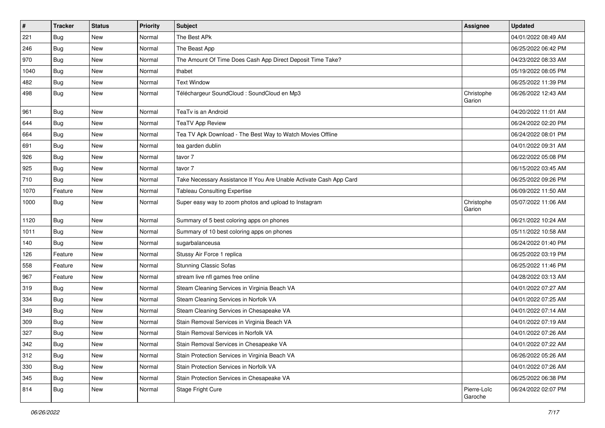| $\vert$ # | <b>Tracker</b> | <b>Status</b> | Priority | <b>Subject</b>                                                     | <b>Assignee</b>        | <b>Updated</b>      |
|-----------|----------------|---------------|----------|--------------------------------------------------------------------|------------------------|---------------------|
| 221       | Bug            | New           | Normal   | The Best APk                                                       |                        | 04/01/2022 08:49 AM |
| 246       | Bug            | New           | Normal   | The Beast App                                                      |                        | 06/25/2022 06:42 PM |
| 970       | Bug            | New           | Normal   | The Amount Of Time Does Cash App Direct Deposit Time Take?         |                        | 04/23/2022 08:33 AM |
| 1040      | Bug            | New           | Normal   | thabet                                                             |                        | 05/19/2022 08:05 PM |
| 482       | Bug            | <b>New</b>    | Normal   | <b>Text Window</b>                                                 |                        | 06/25/2022 11:39 PM |
| 498       | Bug            | New           | Normal   | Téléchargeur SoundCloud : SoundCloud en Mp3                        | Christophe<br>Garion   | 06/26/2022 12:43 AM |
| 961       | Bug            | New           | Normal   | TeaTv is an Android                                                |                        | 04/20/2022 11:01 AM |
| 644       | Bug            | New           | Normal   | <b>TeaTV App Review</b>                                            |                        | 06/24/2022 02:20 PM |
| 664       | Bug            | New           | Normal   | Tea TV Apk Download - The Best Way to Watch Movies Offline         |                        | 06/24/2022 08:01 PM |
| 691       | <b>Bug</b>     | New           | Normal   | tea garden dublin                                                  |                        | 04/01/2022 09:31 AM |
| 926       | Bug            | New           | Normal   | tavor 7                                                            |                        | 06/22/2022 05:08 PM |
| 925       | Bug            | New           | Normal   | tavor 7                                                            |                        | 06/15/2022 03:45 AM |
| 710       | Bug            | New           | Normal   | Take Necessary Assistance If You Are Unable Activate Cash App Card |                        | 06/25/2022 09:26 PM |
| 1070      | Feature        | New           | Normal   | <b>Tableau Consulting Expertise</b>                                |                        | 06/09/2022 11:50 AM |
| 1000      | Bug            | New           | Normal   | Super easy way to zoom photos and upload to Instagram              | Christophe<br>Garion   | 05/07/2022 11:06 AM |
| 1120      | Bug            | New           | Normal   | Summary of 5 best coloring apps on phones                          |                        | 06/21/2022 10:24 AM |
| 1011      | Bug            | New           | Normal   | Summary of 10 best coloring apps on phones                         |                        | 05/11/2022 10:58 AM |
| 140       | Bug            | New           | Normal   | sugarbalanceusa                                                    |                        | 06/24/2022 01:40 PM |
| 126       | Feature        | New           | Normal   | Stussy Air Force 1 replica                                         |                        | 06/25/2022 03:19 PM |
| 558       | Feature        | New           | Normal   | <b>Stunning Classic Sofas</b>                                      |                        | 06/25/2022 11:46 PM |
| 967       | Feature        | <b>New</b>    | Normal   | stream live nfl games free online                                  |                        | 04/28/2022 03:13 AM |
| 319       | Bug            | New           | Normal   | Steam Cleaning Services in Virginia Beach VA                       |                        | 04/01/2022 07:27 AM |
| 334       | Bug            | New           | Normal   | Steam Cleaning Services in Norfolk VA                              |                        | 04/01/2022 07:25 AM |
| 349       | Bug            | <b>New</b>    | Normal   | Steam Cleaning Services in Chesapeake VA                           |                        | 04/01/2022 07:14 AM |
| 309       | Bug            | New           | Normal   | Stain Removal Services in Virginia Beach VA                        |                        | 04/01/2022 07:19 AM |
| 327       | Bug            | New           | Normal   | Stain Removal Services in Norfolk VA                               |                        | 04/01/2022 07:26 AM |
| 342       | Bug            | New           | Normal   | Stain Removal Services in Chesapeake VA                            |                        | 04/01/2022 07:22 AM |
| 312       | Bug            | New           | Normal   | Stain Protection Services in Virginia Beach VA                     |                        | 06/26/2022 05:26 AM |
| 330       | Bug            | New           | Normal   | Stain Protection Services in Norfolk VA                            |                        | 04/01/2022 07:26 AM |
| 345       | Bug            | New           | Normal   | Stain Protection Services in Chesapeake VA                         |                        | 06/25/2022 06:38 PM |
| 814       | Bug            | New           | Normal   | Stage Fright Cure                                                  | Pierre-Loïc<br>Garoche | 06/24/2022 02:07 PM |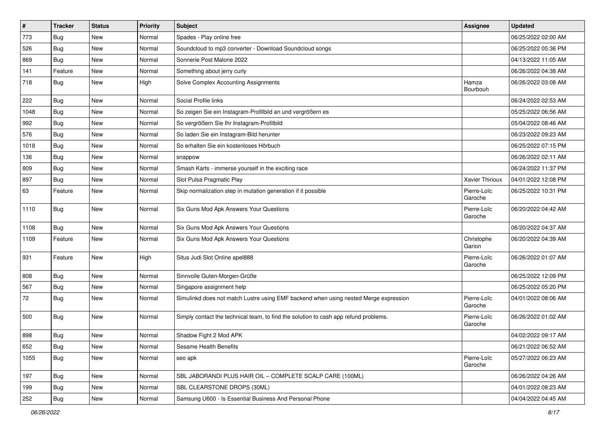| $\pmb{\sharp}$ | <b>Tracker</b> | <b>Status</b> | <b>Priority</b> | Subject                                                                              | Assignee               | <b>Updated</b>      |
|----------------|----------------|---------------|-----------------|--------------------------------------------------------------------------------------|------------------------|---------------------|
| 773            | <b>Bug</b>     | New           | Normal          | Spades - Play online free                                                            |                        | 06/25/2022 02:00 AM |
| 526            | Bug            | New           | Normal          | Soundcloud to mp3 converter - Download Soundcloud songs                              |                        | 06/25/2022 05:36 PM |
| 869            | Bug            | New           | Normal          | Sonnerie Post Malone 2022                                                            |                        | 04/13/2022 11:05 AM |
| 141            | Feature        | New           | Normal          | Something about jerry curly                                                          |                        | 06/26/2022 04:38 AM |
| 718            | Bug            | New           | High            | Solve Complex Accounting Assignments                                                 | Hamza<br>Bourbouh      | 06/26/2022 03:08 AM |
| 222            | Bug            | New           | Normal          | Social Profile links                                                                 |                        | 06/24/2022 02:53 AM |
| 1048           | Bug            | New           | Normal          | So zeigen Sie ein Instagram-Profilbild an und vergrößern es                          |                        | 05/25/2022 06:56 AM |
| 992            | Bug            | New           | Normal          | So vergrößern Sie Ihr Instagram-Profilbild                                           |                        | 05/04/2022 08:46 AM |
| 576            | Bug            | New           | Normal          | So laden Sie ein Instagram-Bild herunter                                             |                        | 06/23/2022 09:23 AM |
| 1018           | Bug            | New           | Normal          | So erhalten Sie ein kostenloses Hörbuch                                              |                        | 06/25/2022 07:15 PM |
| 136            | Bug            | New           | Normal          | snappow                                                                              |                        | 06/26/2022 02:11 AM |
| 809            | Bug            | New           | Normal          | Smash Karts - immerse yourself in the exciting race                                  |                        | 06/24/2022 11:37 PM |
| 897            | <b>Bug</b>     | New           | Normal          | Slot Pulsa Pragmatic Play                                                            | Xavier Thirioux        | 04/01/2022 12:08 PM |
| 63             | Feature        | New           | Normal          | Skip normalization step in mutation generation if it possible                        | Pierre-Loïc<br>Garoche | 06/25/2022 10:31 PM |
| 1110           | <b>Bug</b>     | New           | Normal          | Six Guns Mod Apk Answers Your Questions                                              | Pierre-Loïc<br>Garoche | 06/20/2022 04:42 AM |
| 1108           | Bug            | New           | Normal          | Six Guns Mod Apk Answers Your Questions                                              |                        | 06/20/2022 04:37 AM |
| 1109           | Feature        | New           | Normal          | Six Guns Mod Apk Answers Your Questions                                              | Christophe<br>Garion   | 06/20/2022 04:39 AM |
| 931            | Feature        | <b>New</b>    | High            | Situs Judi Slot Online apel888                                                       | Pierre-Loïc<br>Garoche | 06/26/2022 01:07 AM |
| 808            | Bug            | New           | Normal          | Sinnvolle Guten-Morgen-Grüße                                                         |                        | 06/25/2022 12:09 PM |
| 567            | Bug            | New           | Normal          | Singapore assignment help                                                            |                        | 06/25/2022 05:20 PM |
| 72             | Bug            | New           | Normal          | Simulinkd does not match Lustre using EMF backend when using nested Merge expression | Pierre-Loïc<br>Garoche | 04/01/2022 08:06 AM |
| 500            | Bug            | New           | Normal          | Simply contact the technical team, to find the solution to cash app refund problems. | Pierre-Loïc<br>Garoche | 06/26/2022 01:02 AM |
| 898            | Bug            | New           | Normal          | Shadow Fight 2 Mod APK                                                               |                        | 04/02/2022 09:17 AM |
| 652            | Bug            | New           | Normal          | Sesame Health Benefits                                                               |                        | 06/21/2022 06:52 AM |
| 1055           | Bug            | New           | Normal          | seo apk                                                                              | Pierre-Loïc<br>Garoche | 05/27/2022 06:23 AM |
| 197            | Bug            | New           | Normal          | SBL JABORANDI PLUS HAIR OIL - COMPLETE SCALP CARE (100ML)                            |                        | 06/26/2022 04:26 AM |
| 199            | Bug            | New           | Normal          | SBL CLEARSTONE DROPS (30ML)                                                          |                        | 04/01/2022 08:23 AM |
| 252            | Bug            | New           | Normal          | Samsung U600 - Is Essential Business And Personal Phone                              |                        | 04/04/2022 04:45 AM |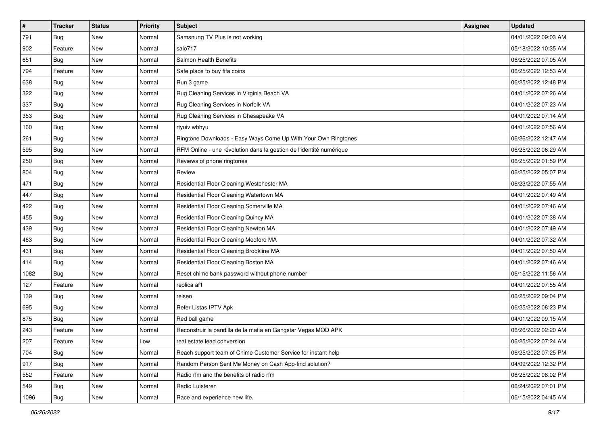| $\sharp$ | <b>Tracker</b> | <b>Status</b> | <b>Priority</b> | <b>Subject</b>                                                      | <b>Assignee</b> | <b>Updated</b>      |
|----------|----------------|---------------|-----------------|---------------------------------------------------------------------|-----------------|---------------------|
| 791      | Bug            | New           | Normal          | Samsnung TV Plus is not working                                     |                 | 04/01/2022 09:03 AM |
| 902      | Feature        | New           | Normal          | salo717                                                             |                 | 05/18/2022 10:35 AM |
| 651      | <b>Bug</b>     | New           | Normal          | Salmon Health Benefits                                              |                 | 06/25/2022 07:05 AM |
| 794      | Feature        | New           | Normal          | Safe place to buy fifa coins                                        |                 | 06/25/2022 12:53 AM |
| 638      | Bug            | New           | Normal          | Run 3 game                                                          |                 | 06/25/2022 12:48 PM |
| 322      | Bug            | New           | Normal          | Rug Cleaning Services in Virginia Beach VA                          |                 | 04/01/2022 07:26 AM |
| 337      | Bug            | New           | Normal          | Rug Cleaning Services in Norfolk VA                                 |                 | 04/01/2022 07:23 AM |
| 353      | Bug            | New           | Normal          | Rug Cleaning Services in Chesapeake VA                              |                 | 04/01/2022 07:14 AM |
| 160      | Bug            | New           | Normal          | rtyuiv wbhyu                                                        |                 | 04/01/2022 07:56 AM |
| 261      | Bug            | New           | Normal          | Ringtone Downloads - Easy Ways Come Up With Your Own Ringtones      |                 | 06/26/2022 12:47 AM |
| 595      | Bug            | New           | Normal          | RFM Online - une révolution dans la gestion de l'identité numérique |                 | 06/25/2022 06:29 AM |
| 250      | Bug            | New           | Normal          | Reviews of phone ringtones                                          |                 | 06/25/2022 01:59 PM |
| 804      | Bug            | New           | Normal          | Review                                                              |                 | 06/25/2022 05:07 PM |
| 471      | Bug            | New           | Normal          | Residential Floor Cleaning Westchester MA                           |                 | 06/23/2022 07:55 AM |
| 447      | Bug            | New           | Normal          | Residential Floor Cleaning Watertown MA                             |                 | 04/01/2022 07:49 AM |
| 422      | Bug            | New           | Normal          | Residential Floor Cleaning Somerville MA                            |                 | 04/01/2022 07:46 AM |
| 455      | Bug            | New           | Normal          | Residential Floor Cleaning Quincy MA                                |                 | 04/01/2022 07:38 AM |
| 439      | Bug            | New           | Normal          | Residential Floor Cleaning Newton MA                                |                 | 04/01/2022 07:49 AM |
| 463      | Bug            | New           | Normal          | Residential Floor Cleaning Medford MA                               |                 | 04/01/2022 07:32 AM |
| 431      | Bug            | New           | Normal          | Residential Floor Cleaning Brookline MA                             |                 | 04/01/2022 07:50 AM |
| 414      | Bug            | New           | Normal          | Residential Floor Cleaning Boston MA                                |                 | 04/01/2022 07:46 AM |
| 1082     | Bug            | New           | Normal          | Reset chime bank password without phone number                      |                 | 06/15/2022 11:56 AM |
| 127      | Feature        | New           | Normal          | replica af1                                                         |                 | 04/01/2022 07:55 AM |
| 139      | Bug            | New           | Normal          | relseo                                                              |                 | 06/25/2022 09:04 PM |
| 695      | Bug            | New           | Normal          | Refer Listas IPTV Apk                                               |                 | 06/25/2022 08:23 PM |
| 875      | Bug            | New           | Normal          | Red ball game                                                       |                 | 04/01/2022 09:15 AM |
| 243      | Feature        | New           | Normal          | Reconstruir la pandilla de la mafia en Gangstar Vegas MOD APK       |                 | 06/26/2022 02:20 AM |
| 207      | Feature        | New           | Low             | real estate lead conversion                                         |                 | 06/25/2022 07:24 AM |
| 704      | Bug            | New           | Normal          | Reach support team of Chime Customer Service for instant help       |                 | 06/25/2022 07:25 PM |
| 917      | Bug            | New           | Normal          | Random Person Sent Me Money on Cash App-find solution?              |                 | 04/09/2022 12:32 PM |
| 552      | Feature        | New           | Normal          | Radio rfm and the benefits of radio rfm                             |                 | 06/25/2022 08:02 PM |
| 549      | Bug            | New           | Normal          | Radio Luisteren                                                     |                 | 06/24/2022 07:01 PM |
| 1096     | <b>Bug</b>     | New           | Normal          | Race and experience new life.                                       |                 | 06/15/2022 04:45 AM |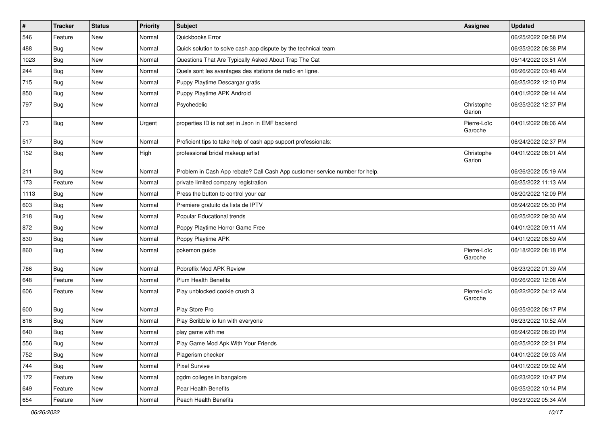| #    | <b>Tracker</b> | <b>Status</b> | <b>Priority</b> | <b>Subject</b>                                                              | Assignee               | <b>Updated</b>      |
|------|----------------|---------------|-----------------|-----------------------------------------------------------------------------|------------------------|---------------------|
| 546  | Feature        | New           | Normal          | Quickbooks Error                                                            |                        | 06/25/2022 09:58 PM |
| 488  | Bug            | New           | Normal          | Quick solution to solve cash app dispute by the technical team              |                        | 06/25/2022 08:38 PM |
| 1023 | Bug            | New           | Normal          | Questions That Are Typically Asked About Trap The Cat                       |                        | 05/14/2022 03:51 AM |
| 244  | Bug            | New           | Normal          | Quels sont les avantages des stations de radio en ligne.                    |                        | 06/26/2022 03:48 AM |
| 715  | Bug            | <b>New</b>    | Normal          | Puppy Playtime Descargar gratis                                             |                        | 06/25/2022 12:10 PM |
| 850  | Bug            | New           | Normal          | Puppy Playtime APK Android                                                  |                        | 04/01/2022 09:14 AM |
| 797  | Bug            | New           | Normal          | Psychedelic                                                                 | Christophe<br>Garion   | 06/25/2022 12:37 PM |
| 73   | Bug            | New           | Urgent          | properties ID is not set in Json in EMF backend                             | Pierre-Loïc<br>Garoche | 04/01/2022 08:06 AM |
| 517  | Bug            | New           | Normal          | Proficient tips to take help of cash app support professionals:             |                        | 06/24/2022 02:37 PM |
| 152  | Bug            | New           | High            | professional bridal makeup artist                                           | Christophe<br>Garion   | 04/01/2022 08:01 AM |
| 211  | Bug            | New           | Normal          | Problem in Cash App rebate? Call Cash App customer service number for help. |                        | 06/26/2022 05:19 AM |
| 173  | Feature        | New           | Normal          | private limited company registration                                        |                        | 06/25/2022 11:13 AM |
| 1113 | Bug            | New           | Normal          | Press the button to control your car                                        |                        | 06/20/2022 12:09 PM |
| 603  | Bug            | New           | Normal          | Premiere gratuito da lista de IPTV                                          |                        | 06/24/2022 05:30 PM |
| 218  | Bug            | New           | Normal          | Popular Educational trends                                                  |                        | 06/25/2022 09:30 AM |
| 872  | Bug            | New           | Normal          | Poppy Playtime Horror Game Free                                             |                        | 04/01/2022 09:11 AM |
| 830  | Bug            | New           | Normal          | Poppy Playtime APK                                                          |                        | 04/01/2022 08:59 AM |
| 860  | Bug            | New           | Normal          | pokemon guide                                                               | Pierre-Loïc<br>Garoche | 06/18/2022 08:18 PM |
| 766  | Bug            | <b>New</b>    | Normal          | Pobreflix Mod APK Review                                                    |                        | 06/23/2022 01:39 AM |
| 648  | Feature        | New           | Normal          | <b>Plum Health Benefits</b>                                                 |                        | 06/26/2022 12:08 AM |
| 606  | Feature        | New           | Normal          | Play unblocked cookie crush 3                                               | Pierre-Loïc<br>Garoche | 06/22/2022 04:12 AM |
| 600  | Bug            | New           | Normal          | Play Store Pro                                                              |                        | 06/25/2022 08:17 PM |
| 816  | Bug            | New           | Normal          | Play Scribble io fun with everyone                                          |                        | 06/23/2022 10:52 AM |
| 640  | Bug            | <b>New</b>    | Normal          | play game with me                                                           |                        | 06/24/2022 08:20 PM |
| 556  | <b>Bug</b>     | New           | Normal          | Play Game Mod Apk With Your Friends                                         |                        | 06/25/2022 02:31 PM |
| 752  | Bug            | New           | Normal          | Plagerism checker                                                           |                        | 04/01/2022 09:03 AM |
| 744  | Bug            | New           | Normal          | Pixel Survive                                                               |                        | 04/01/2022 09:02 AM |
| 172  | Feature        | New           | Normal          | pgdm colleges in bangalore                                                  |                        | 06/23/2022 10:47 PM |
| 649  | Feature        | New           | Normal          | Pear Health Benefits                                                        |                        | 06/25/2022 10:14 PM |
| 654  | Feature        | New           | Normal          | Peach Health Benefits                                                       |                        | 06/23/2022 05:34 AM |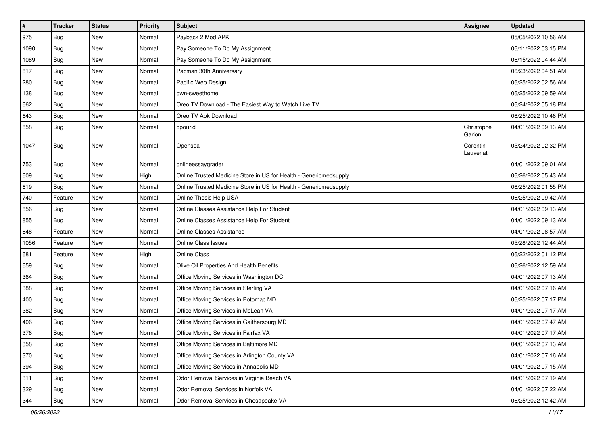| $\pmb{\#}$ | <b>Tracker</b> | <b>Status</b> | <b>Priority</b> | Subject                                                           | Assignee              | <b>Updated</b>      |
|------------|----------------|---------------|-----------------|-------------------------------------------------------------------|-----------------------|---------------------|
| 975        | <b>Bug</b>     | New           | Normal          | Payback 2 Mod APK                                                 |                       | 05/05/2022 10:56 AM |
| 1090       | Bug            | New           | Normal          | Pay Someone To Do My Assignment                                   |                       | 06/11/2022 03:15 PM |
| 1089       | Bug            | New           | Normal          | Pay Someone To Do My Assignment                                   |                       | 06/15/2022 04:44 AM |
| 817        | Bug            | New           | Normal          | Pacman 30th Anniversary                                           |                       | 06/23/2022 04:51 AM |
| 280        | Bug            | <b>New</b>    | Normal          | Pacific Web Design                                                |                       | 06/25/2022 02:56 AM |
| 138        | <b>Bug</b>     | New           | Normal          | own-sweethome                                                     |                       | 06/25/2022 09:59 AM |
| 662        | <b>Bug</b>     | New           | Normal          | Oreo TV Download - The Easiest Way to Watch Live TV               |                       | 06/24/2022 05:18 PM |
| 643        | Bug            | New           | Normal          | Oreo TV Apk Download                                              |                       | 06/25/2022 10:46 PM |
| 858        | Bug            | New           | Normal          | opourid                                                           | Christophe<br>Garion  | 04/01/2022 09:13 AM |
| 1047       | Bug            | New           | Normal          | Opensea                                                           | Corentin<br>Lauverjat | 05/24/2022 02:32 PM |
| 753        | Bug            | New           | Normal          | onlineessaygrader                                                 |                       | 04/01/2022 09:01 AM |
| 609        | <b>Bug</b>     | New           | High            | Online Trusted Medicine Store in US for Health - Genericmedsupply |                       | 06/26/2022 05:43 AM |
| 619        | Bug            | New           | Normal          | Online Trusted Medicine Store in US for Health - Genericmedsupply |                       | 06/25/2022 01:55 PM |
| 740        | Feature        | New           | Normal          | Online Thesis Help USA                                            |                       | 06/25/2022 09:42 AM |
| 856        | Bug            | <b>New</b>    | Normal          | Online Classes Assistance Help For Student                        |                       | 04/01/2022 09:13 AM |
| 855        | <b>Bug</b>     | <b>New</b>    | Normal          | Online Classes Assistance Help For Student                        |                       | 04/01/2022 09:13 AM |
| 848        | Feature        | New           | Normal          | <b>Online Classes Assistance</b>                                  |                       | 04/01/2022 08:57 AM |
| 1056       | Feature        | New           | Normal          | <b>Online Class Issues</b>                                        |                       | 05/28/2022 12:44 AM |
| 681        | Feature        | New           | High            | <b>Online Class</b>                                               |                       | 06/22/2022 01:12 PM |
| 659        | Bug            | New           | Normal          | Olive Oil Properties And Health Benefits                          |                       | 06/26/2022 12:59 AM |
| 364        | <b>Bug</b>     | New           | Normal          | Office Moving Services in Washington DC                           |                       | 04/01/2022 07:13 AM |
| 388        | Bug            | New           | Normal          | Office Moving Services in Sterling VA                             |                       | 04/01/2022 07:16 AM |
| 400        | Bug            | New           | Normal          | Office Moving Services in Potomac MD                              |                       | 06/25/2022 07:17 PM |
| 382        | <b>Bug</b>     | <b>New</b>    | Normal          | Office Moving Services in McLean VA                               |                       | 04/01/2022 07:17 AM |
| 406        | <b>Bug</b>     | New           | Normal          | Office Moving Services in Gaithersburg MD                         |                       | 04/01/2022 07:47 AM |
| 376        | <b>Bug</b>     | New           | Normal          | Office Moving Services in Fairfax VA                              |                       | 04/01/2022 07:17 AM |
| 358        | Bug            | New           | Normal          | Office Moving Services in Baltimore MD                            |                       | 04/01/2022 07:13 AM |
| 370        | Bug            | New           | Normal          | Office Moving Services in Arlington County VA                     |                       | 04/01/2022 07:16 AM |
| 394        | Bug            | New           | Normal          | Office Moving Services in Annapolis MD                            |                       | 04/01/2022 07:15 AM |
| 311        | Bug            | New           | Normal          | Odor Removal Services in Virginia Beach VA                        |                       | 04/01/2022 07:19 AM |
| 329        | Bug            | New           | Normal          | Odor Removal Services in Norfolk VA                               |                       | 04/01/2022 07:22 AM |
| 344        | <b>Bug</b>     | New           | Normal          | Odor Removal Services in Chesapeake VA                            |                       | 06/25/2022 12:42 AM |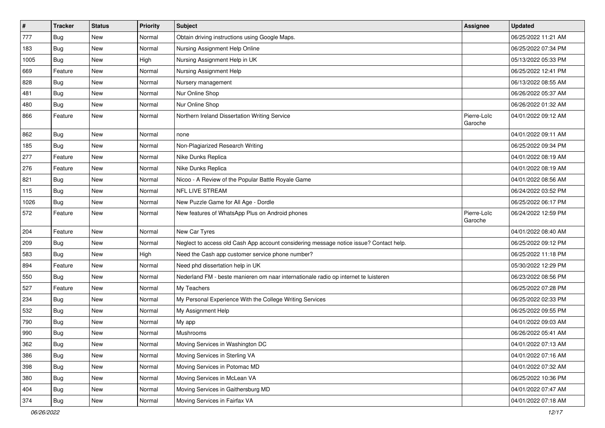| $\pmb{\#}$ | <b>Tracker</b> | <b>Status</b> | <b>Priority</b> | Subject                                                                                | Assignee               | <b>Updated</b>      |
|------------|----------------|---------------|-----------------|----------------------------------------------------------------------------------------|------------------------|---------------------|
| 777        | <b>Bug</b>     | New           | Normal          | Obtain driving instructions using Google Maps.                                         |                        | 06/25/2022 11:21 AM |
| 183        | <b>Bug</b>     | <b>New</b>    | Normal          | Nursing Assignment Help Online                                                         |                        | 06/25/2022 07:34 PM |
| 1005       | Bug            | New           | High            | Nursing Assignment Help in UK                                                          |                        | 05/13/2022 05:33 PM |
| 669        | Feature        | New           | Normal          | Nursing Assignment Help                                                                |                        | 06/25/2022 12:41 PM |
| 828        | Bug            | <b>New</b>    | Normal          | Nursery management                                                                     |                        | 06/13/2022 08:55 AM |
| 481        | <b>Bug</b>     | New           | Normal          | Nur Online Shop                                                                        |                        | 06/26/2022 05:37 AM |
| 480        | Bug            | <b>New</b>    | Normal          | Nur Online Shop                                                                        |                        | 06/26/2022 01:32 AM |
| 866        | Feature        | New           | Normal          | Northern Ireland Dissertation Writing Service                                          | Pierre-Loïc<br>Garoche | 04/01/2022 09:12 AM |
| 862        | <b>Bug</b>     | <b>New</b>    | Normal          | none                                                                                   |                        | 04/01/2022 09:11 AM |
| 185        | Bug            | New           | Normal          | Non-Plagiarized Research Writing                                                       |                        | 06/25/2022 09:34 PM |
| 277        | Feature        | <b>New</b>    | Normal          | Nike Dunks Replica                                                                     |                        | 04/01/2022 08:19 AM |
| 276        | Feature        | <b>New</b>    | Normal          | Nike Dunks Replica                                                                     |                        | 04/01/2022 08:19 AM |
| 821        | Bug            | New           | Normal          | Nicoo - A Review of the Popular Battle Royale Game                                     |                        | 04/01/2022 08:56 AM |
| 115        | <b>Bug</b>     | <b>New</b>    | Normal          | NFL LIVE STREAM                                                                        |                        | 06/24/2022 03:52 PM |
| 1026       | Bug            | New           | Normal          | New Puzzle Game for All Age - Dordle                                                   |                        | 06/25/2022 06:17 PM |
| 572        | Feature        | New           | Normal          | New features of WhatsApp Plus on Android phones                                        | Pierre-Loïc<br>Garoche | 06/24/2022 12:59 PM |
| 204        | Feature        | New           | Normal          | New Car Tyres                                                                          |                        | 04/01/2022 08:40 AM |
| 209        | Bug            | New           | Normal          | Neglect to access old Cash App account considering message notice issue? Contact help. |                        | 06/25/2022 09:12 PM |
| 583        | Bug            | <b>New</b>    | High            | Need the Cash app customer service phone number?                                       |                        | 06/25/2022 11:18 PM |
| 894        | Feature        | <b>New</b>    | Normal          | Need phd dissertation help in UK                                                       |                        | 05/30/2022 12:29 PM |
| 550        | Bug            | New           | Normal          | Nederland FM - beste manieren om naar internationale radio op internet te luisteren    |                        | 06/23/2022 08:56 PM |
| 527        | Feature        | New           | Normal          | My Teachers                                                                            |                        | 06/25/2022 07:28 PM |
| 234        | Bug            | New           | Normal          | My Personal Experience With the College Writing Services                               |                        | 06/25/2022 02:33 PM |
| 532        | <b>Bug</b>     | <b>New</b>    | Normal          | My Assignment Help                                                                     |                        | 06/25/2022 09:55 PM |
| 790        | Bug            | New           | Normal          | My app                                                                                 |                        | 04/01/2022 09:03 AM |
| 990        | Bug            | New           | Normal          | Mushrooms                                                                              |                        | 06/26/2022 05:41 AM |
| 362        | Bug            | New           | Normal          | Moving Services in Washington DC                                                       |                        | 04/01/2022 07:13 AM |
| 386        | Bug            | New           | Normal          | Moving Services in Sterling VA                                                         |                        | 04/01/2022 07:16 AM |
| 398        | Bug            | New           | Normal          | Moving Services in Potomac MD                                                          |                        | 04/01/2022 07:32 AM |
| 380        | <b>Bug</b>     | New           | Normal          | Moving Services in McLean VA                                                           |                        | 06/25/2022 10:36 PM |
| 404        | Bug            | New           | Normal          | Moving Services in Gaithersburg MD                                                     |                        | 04/01/2022 07:47 AM |
| 374        | <b>Bug</b>     | New           | Normal          | Moving Services in Fairfax VA                                                          |                        | 04/01/2022 07:18 AM |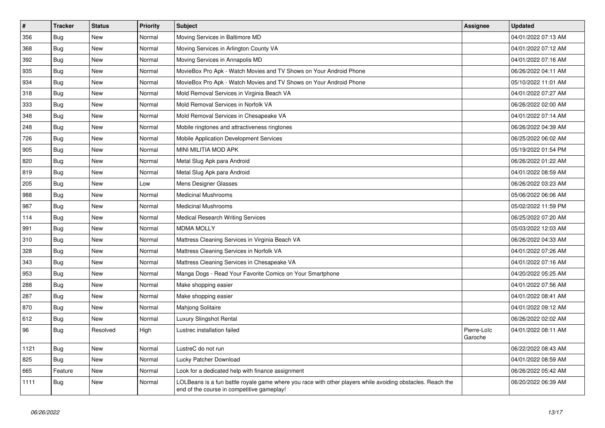| $\vert$ # | <b>Tracker</b> | <b>Status</b> | <b>Priority</b> | <b>Subject</b>                                                                                                                                           | <b>Assignee</b>        | <b>Updated</b>      |
|-----------|----------------|---------------|-----------------|----------------------------------------------------------------------------------------------------------------------------------------------------------|------------------------|---------------------|
| 356       | Bug            | <b>New</b>    | Normal          | Moving Services in Baltimore MD                                                                                                                          |                        | 04/01/2022 07:13 AM |
| 368       | Bug            | <b>New</b>    | Normal          | Moving Services in Arlington County VA                                                                                                                   |                        | 04/01/2022 07:12 AM |
| 392       | Bug            | New           | Normal          | Moving Services in Annapolis MD                                                                                                                          |                        | 04/01/2022 07:16 AM |
| 935       | Bug            | New           | Normal          | MovieBox Pro Apk - Watch Movies and TV Shows on Your Android Phone                                                                                       |                        | 06/26/2022 04:11 AM |
| 934       | Bug            | New           | Normal          | MovieBox Pro Apk - Watch Movies and TV Shows on Your Android Phone                                                                                       |                        | 05/10/2022 11:01 AM |
| 318       | <b>Bug</b>     | New           | Normal          | Mold Removal Services in Virginia Beach VA                                                                                                               |                        | 04/01/2022 07:27 AM |
| 333       | Bug            | New           | Normal          | Mold Removal Services in Norfolk VA                                                                                                                      |                        | 06/26/2022 02:00 AM |
| 348       | Bug            | New           | Normal          | Mold Removal Services in Chesapeake VA                                                                                                                   |                        | 04/01/2022 07:14 AM |
| 248       | <b>Bug</b>     | New           | Normal          | Mobile ringtones and attractiveness ringtones                                                                                                            |                        | 06/26/2022 04:39 AM |
| 726       | Bug            | New           | Normal          | Mobile Application Development Services                                                                                                                  |                        | 06/25/2022 06:02 AM |
| 905       | Bug            | New           | Normal          | MINI MILITIA MOD APK                                                                                                                                     |                        | 05/19/2022 01:54 PM |
| 820       | Bug            | New           | Normal          | Metal Slug Apk para Android                                                                                                                              |                        | 06/26/2022 01:22 AM |
| 819       | Bug            | New           | Normal          | Metal Slug Apk para Android                                                                                                                              |                        | 04/01/2022 08:59 AM |
| 205       | Bug            | New           | Low             | Mens Designer Glasses                                                                                                                                    |                        | 06/26/2022 03:23 AM |
| 988       | Bug            | New           | Normal          | <b>Medicinal Mushrooms</b>                                                                                                                               |                        | 05/06/2022 06:06 AM |
| 987       | <b>Bug</b>     | New           | Normal          | <b>Medicinal Mushrooms</b>                                                                                                                               |                        | 05/02/2022 11:59 PM |
| 114       | <b>Bug</b>     | New           | Normal          | <b>Medical Research Writing Services</b>                                                                                                                 |                        | 06/25/2022 07:20 AM |
| 991       | Bug            | <b>New</b>    | Normal          | <b>MDMA MOLLY</b>                                                                                                                                        |                        | 05/03/2022 12:03 AM |
| 310       | Bug            | New           | Normal          | Mattress Cleaning Services in Virginia Beach VA                                                                                                          |                        | 06/26/2022 04:33 AM |
| 328       | Bug            | New           | Normal          | Mattress Cleaning Services in Norfolk VA                                                                                                                 |                        | 04/01/2022 07:26 AM |
| 343       | Bug            | <b>New</b>    | Normal          | Mattress Cleaning Services in Chesapeake VA                                                                                                              |                        | 04/01/2022 07:16 AM |
| 953       | Bug            | New           | Normal          | Manga Dogs - Read Your Favorite Comics on Your Smartphone                                                                                                |                        | 04/20/2022 05:25 AM |
| 288       | Bug            | New           | Normal          | Make shopping easier                                                                                                                                     |                        | 04/01/2022 07:56 AM |
| 287       | <b>Bug</b>     | New           | Normal          | Make shopping easier                                                                                                                                     |                        | 04/01/2022 08:41 AM |
| 870       | <b>Bug</b>     | New           | Normal          | Mahjong Solitaire                                                                                                                                        |                        | 04/01/2022 09:12 AM |
| 612       | <b>Bug</b>     | <b>New</b>    | Normal          | <b>Luxury Slingshot Rental</b>                                                                                                                           |                        | 06/26/2022 02:02 AM |
| 96        | Bug            | Resolved      | High            | Lustrec installation failed                                                                                                                              | Pierre-Loïc<br>Garoche | 04/01/2022 08:11 AM |
| 1121      | Bug            | <b>New</b>    | Normal          | LustreC do not run                                                                                                                                       |                        | 06/22/2022 08:43 AM |
| 825       | Bug            | <b>New</b>    | Normal          | Lucky Patcher Download                                                                                                                                   |                        | 04/01/2022 08:59 AM |
| 665       | Feature        | <b>New</b>    | Normal          | Look for a dedicated help with finance assignment                                                                                                        |                        | 06/26/2022 05:42 AM |
| 1111      | <b>Bug</b>     | New           | Normal          | LOLBeans is a fun battle royale game where you race with other players while avoiding obstacles. Reach the<br>end of the course in competitive gameplay! |                        | 06/20/2022 06:39 AM |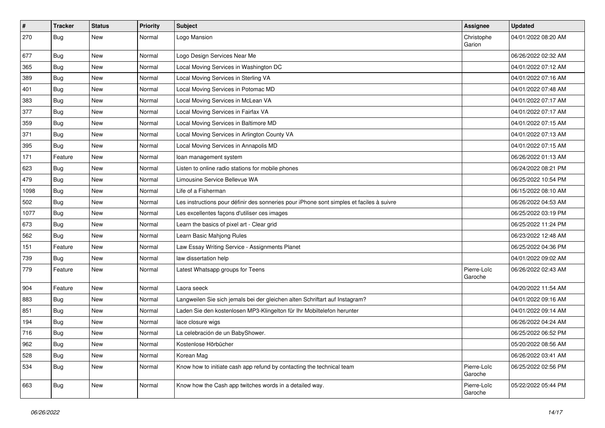| $\vert$ # | <b>Tracker</b> | <b>Status</b> | Priority | <b>Subject</b>                                                                           | <b>Assignee</b>        | <b>Updated</b>      |
|-----------|----------------|---------------|----------|------------------------------------------------------------------------------------------|------------------------|---------------------|
| 270       | Bug            | New           | Normal   | Logo Mansion                                                                             | Christophe<br>Garion   | 04/01/2022 08:20 AM |
| 677       | <b>Bug</b>     | New           | Normal   | Logo Design Services Near Me                                                             |                        | 06/26/2022 02:32 AM |
| 365       | <b>Bug</b>     | New           | Normal   | Local Moving Services in Washington DC                                                   |                        | 04/01/2022 07:12 AM |
| 389       | Bug            | <b>New</b>    | Normal   | Local Moving Services in Sterling VA                                                     |                        | 04/01/2022 07:16 AM |
| 401       | <b>Bug</b>     | New           | Normal   | Local Moving Services in Potomac MD                                                      |                        | 04/01/2022 07:48 AM |
| 383       | Bug            | New           | Normal   | Local Moving Services in McLean VA                                                       |                        | 04/01/2022 07:17 AM |
| 377       | Bug            | New           | Normal   | Local Moving Services in Fairfax VA                                                      |                        | 04/01/2022 07:17 AM |
| 359       | <b>Bug</b>     | New           | Normal   | Local Moving Services in Baltimore MD                                                    |                        | 04/01/2022 07:15 AM |
| 371       | Bug            | <b>New</b>    | Normal   | Local Moving Services in Arlington County VA                                             |                        | 04/01/2022 07:13 AM |
| 395       | <b>Bug</b>     | New           | Normal   | Local Moving Services in Annapolis MD                                                    |                        | 04/01/2022 07:15 AM |
| 171       | Feature        | New           | Normal   | loan management system                                                                   |                        | 06/26/2022 01:13 AM |
| 623       | Bug            | New           | Normal   | Listen to online radio stations for mobile phones                                        |                        | 06/24/2022 08:21 PM |
| 479       | Bug            | New           | Normal   | Limousine Service Bellevue WA                                                            |                        | 06/25/2022 10:54 PM |
| 1098      | Bug            | New           | Normal   | Life of a Fisherman                                                                      |                        | 06/15/2022 08:10 AM |
| 502       | Bug            | New           | Normal   | Les instructions pour définir des sonneries pour iPhone sont simples et faciles à suivre |                        | 06/26/2022 04:53 AM |
| 1077      | Bug            | New           | Normal   | Les excellentes façons d'utiliser ces images                                             |                        | 06/25/2022 03:19 PM |
| 673       | Bug            | New           | Normal   | Learn the basics of pixel art - Clear grid                                               |                        | 06/25/2022 11:24 PM |
| 562       | <b>Bug</b>     | New           | Normal   | Learn Basic Mahjong Rules                                                                |                        | 06/23/2022 12:48 AM |
| 151       | Feature        | New           | Normal   | Law Essay Writing Service - Assignments Planet                                           |                        | 06/25/2022 04:36 PM |
| 739       | <b>Bug</b>     | New           | Normal   | law dissertation help                                                                    |                        | 04/01/2022 09:02 AM |
| 779       | Feature        | New           | Normal   | Latest Whatsapp groups for Teens                                                         | Pierre-Loïc<br>Garoche | 06/26/2022 02:43 AM |
| 904       | Feature        | New           | Normal   | Laora seeck                                                                              |                        | 04/20/2022 11:54 AM |
| 883       | Bug            | New           | Normal   | Langweilen Sie sich jemals bei der gleichen alten Schriftart auf Instagram?              |                        | 04/01/2022 09:16 AM |
| 851       | Bug            | New           | Normal   | Laden Sie den kostenlosen MP3-Klingelton für Ihr Mobiltelefon herunter                   |                        | 04/01/2022 09:14 AM |
| 194       | Bug            | New           | Normal   | lace closure wigs                                                                        |                        | 06/26/2022 04:24 AM |
| 716       | Bug            | New           | Normal   | La celebración de un BabyShower.                                                         |                        | 06/25/2022 06:52 PM |
| 962       | <b>Bug</b>     | New           | Normal   | Kostenlose Hörbücher                                                                     |                        | 05/20/2022 08:56 AM |
| 528       | Bug            | New           | Normal   | Korean Mag                                                                               |                        | 06/26/2022 03:41 AM |
| 534       | <b>Bug</b>     | New           | Normal   | Know how to initiate cash app refund by contacting the technical team                    | Pierre-Loïc<br>Garoche | 06/25/2022 02:56 PM |
| 663       | Bug            | New           | Normal   | Know how the Cash app twitches words in a detailed way.                                  | Pierre-Loïc<br>Garoche | 05/22/2022 05:44 PM |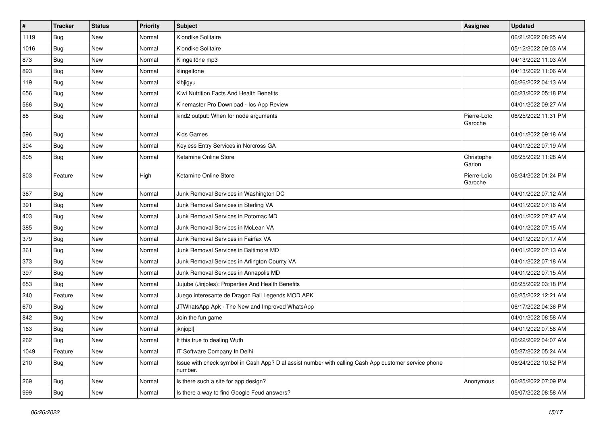| $\vert$ # | <b>Tracker</b> | <b>Status</b> | <b>Priority</b> | <b>Subject</b>                                                                                                  | <b>Assignee</b>        | <b>Updated</b>      |
|-----------|----------------|---------------|-----------------|-----------------------------------------------------------------------------------------------------------------|------------------------|---------------------|
| 1119      | <b>Bug</b>     | New           | Normal          | Klondike Solitaire                                                                                              |                        | 06/21/2022 08:25 AM |
| 1016      | Bug            | <b>New</b>    | Normal          | Klondike Solitaire                                                                                              |                        | 05/12/2022 09:03 AM |
| 873       | <b>Bug</b>     | New           | Normal          | Klingeltöne mp3                                                                                                 |                        | 04/13/2022 11:03 AM |
| 893       | Bug            | New           | Normal          | klingeltone                                                                                                     |                        | 04/13/2022 11:06 AM |
| 119       | Bug            | New           | Normal          | klhjigyu                                                                                                        |                        | 06/26/2022 04:13 AM |
| 656       | Bug            | New           | Normal          | Kiwi Nutrition Facts And Health Benefits                                                                        |                        | 06/23/2022 05:18 PM |
| 566       | <b>Bug</b>     | New           | Normal          | Kinemaster Pro Download - los App Review                                                                        |                        | 04/01/2022 09:27 AM |
| 88        | Bug            | New           | Normal          | kind2 output: When for node arguments                                                                           | Pierre-Loïc<br>Garoche | 06/25/2022 11:31 PM |
| 596       | Bug            | <b>New</b>    | Normal          | <b>Kids Games</b>                                                                                               |                        | 04/01/2022 09:18 AM |
| 304       | Bug            | New           | Normal          | Keyless Entry Services in Norcross GA                                                                           |                        | 04/01/2022 07:19 AM |
| 805       | Bug            | New           | Normal          | Ketamine Online Store                                                                                           | Christophe<br>Garion   | 06/25/2022 11:28 AM |
| 803       | Feature        | New           | High            | Ketamine Online Store                                                                                           | Pierre-Loïc<br>Garoche | 06/24/2022 01:24 PM |
| 367       | Bug            | New           | Normal          | Junk Removal Services in Washington DC                                                                          |                        | 04/01/2022 07:12 AM |
| 391       | Bug            | New           | Normal          | Junk Removal Services in Sterling VA                                                                            |                        | 04/01/2022 07:16 AM |
| 403       | Bug            | <b>New</b>    | Normal          | Junk Removal Services in Potomac MD                                                                             |                        | 04/01/2022 07:47 AM |
| 385       | Bug            | New           | Normal          | Junk Removal Services in McLean VA                                                                              |                        | 04/01/2022 07:15 AM |
| 379       | Bug            | New           | Normal          | Junk Removal Services in Fairfax VA                                                                             |                        | 04/01/2022 07:17 AM |
| 361       | Bug            | New           | Normal          | Junk Removal Services in Baltimore MD                                                                           |                        | 04/01/2022 07:13 AM |
| 373       | Bug            | New           | Normal          | Junk Removal Services in Arlington County VA                                                                    |                        | 04/01/2022 07:18 AM |
| 397       | Bug            | New           | Normal          | Junk Removal Services in Annapolis MD                                                                           |                        | 04/01/2022 07:15 AM |
| 653       | <b>Bug</b>     | New           | Normal          | Jujube (Jinjoles): Properties And Health Benefits                                                               |                        | 06/25/2022 03:18 PM |
| 240       | Feature        | New           | Normal          | Juego interesante de Dragon Ball Legends MOD APK                                                                |                        | 06/25/2022 12:21 AM |
| 670       | Bug            | New           | Normal          | JTWhatsApp Apk - The New and Improved WhatsApp                                                                  |                        | 06/17/2022 04:36 PM |
| 842       | Bug            | New           | Normal          | Join the fun game                                                                                               |                        | 04/01/2022 08:58 AM |
| 163       | <b>Bug</b>     | New           | Normal          | jknjopl[                                                                                                        |                        | 04/01/2022 07:58 AM |
| 262       | Bug            | New           | Normal          | It this true to dealing Wuth                                                                                    |                        | 06/22/2022 04:07 AM |
| 1049      | Feature        | New           | Normal          | IT Software Company In Delhi                                                                                    |                        | 05/27/2022 05:24 AM |
| 210       | Bug            | New           | Normal          | Issue with check symbol in Cash App? Dial assist number with calling Cash App customer service phone<br>number. |                        | 06/24/2022 10:52 PM |
| 269       | Bug            | New           | Normal          | Is there such a site for app design?                                                                            | Anonymous              | 06/25/2022 07:09 PM |
| 999       | Bug            | New           | Normal          | Is there a way to find Google Feud answers?                                                                     |                        | 05/07/2022 08:58 AM |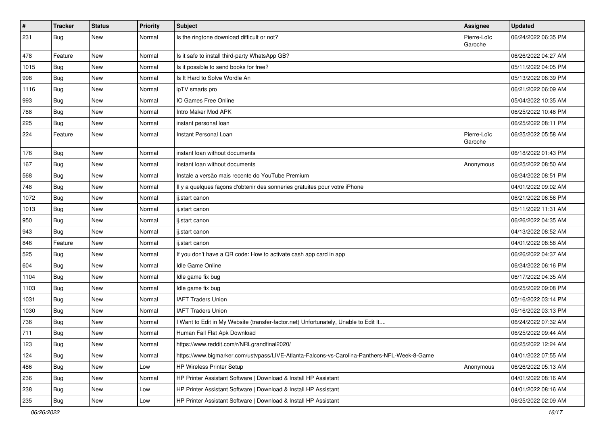| $\sharp$ | <b>Tracker</b> | <b>Status</b> | <b>Priority</b> | <b>Subject</b>                                                                               | <b>Assignee</b>        | <b>Updated</b>      |
|----------|----------------|---------------|-----------------|----------------------------------------------------------------------------------------------|------------------------|---------------------|
| 231      | Bug            | New           | Normal          | Is the ringtone download difficult or not?                                                   | Pierre-Loïc<br>Garoche | 06/24/2022 06:35 PM |
| 478      | Feature        | New           | Normal          | Is it safe to install third-party WhatsApp GB?                                               |                        | 06/26/2022 04:27 AM |
| 1015     | Bug            | New           | Normal          | Is it possible to send books for free?                                                       |                        | 05/11/2022 04:05 PM |
| 998      | Bug            | New           | Normal          | Is It Hard to Solve Wordle An                                                                |                        | 05/13/2022 06:39 PM |
| 1116     | Bug            | New           | Normal          | ipTV smarts pro                                                                              |                        | 06/21/2022 06:09 AM |
| 993      | Bug            | New           | Normal          | IO Games Free Online                                                                         |                        | 05/04/2022 10:35 AM |
| 788      | Bug            | New           | Normal          | Intro Maker Mod APK                                                                          |                        | 06/25/2022 10:48 PM |
| 225      | Bug            | New           | Normal          | instant personal loan                                                                        |                        | 06/25/2022 08:11 PM |
| 224      | Feature        | New           | Normal          | Instant Personal Loan                                                                        | Pierre-Loïc<br>Garoche | 06/25/2022 05:58 AM |
| 176      | Bug            | New           | Normal          | instant loan without documents                                                               |                        | 06/18/2022 01:43 PM |
| 167      | Bug            | New           | Normal          | instant loan without documents                                                               | Anonymous              | 06/25/2022 08:50 AM |
| 568      | Bug            | New           | Normal          | Instale a versão mais recente do YouTube Premium                                             |                        | 06/24/2022 08:51 PM |
| 748      | Bug            | New           | Normal          | Il y a quelques façons d'obtenir des sonneries gratuites pour votre iPhone                   |                        | 04/01/2022 09:02 AM |
| 1072     | Bug            | New           | Normal          | ij.start canon                                                                               |                        | 06/21/2022 06:56 PM |
| 1013     | Bug            | New           | Normal          | ij.start canon                                                                               |                        | 05/11/2022 11:31 AM |
| 950      | Bug            | New           | Normal          | ij.start canon                                                                               |                        | 06/26/2022 04:35 AM |
| 943      | Bug            | New           | Normal          | ij.start canon                                                                               |                        | 04/13/2022 08:52 AM |
| 846      | Feature        | New           | Normal          | ij.start canon                                                                               |                        | 04/01/2022 08:58 AM |
| 525      | Bug            | <b>New</b>    | Normal          | If you don't have a QR code: How to activate cash app card in app                            |                        | 06/26/2022 04:37 AM |
| 604      | Bug            | New           | Normal          | Idle Game Online                                                                             |                        | 06/24/2022 06:16 PM |
| 1104     | Bug            | <b>New</b>    | Normal          | Idle game fix bug                                                                            |                        | 06/17/2022 04:35 AM |
| 1103     | Bug            | New           | Normal          | Idle game fix bug                                                                            |                        | 06/25/2022 09:08 PM |
| 1031     | Bug            | New           | Normal          | <b>IAFT Traders Union</b>                                                                    |                        | 05/16/2022 03:14 PM |
| 1030     | Bug            | New           | Normal          | <b>IAFT Traders Union</b>                                                                    |                        | 05/16/2022 03:13 PM |
| 736      | Bug            | New           | Normal          | I Want to Edit in My Website (transfer-factor.net) Unfortunately, Unable to Edit It          |                        | 06/24/2022 07:32 AM |
| 711      | Bug            | <b>New</b>    | Normal          | Human Fall Flat Apk Download                                                                 |                        | 06/25/2022 09:44 AM |
| 123      | <b>Bug</b>     | New           | Normal          | https://www.reddit.com/r/NRLgrandfinal2020/                                                  |                        | 06/25/2022 12:24 AM |
| 124      | Bug            | New           | Normal          | https://www.bigmarker.com/ustvpass/LIVE-Atlanta-Falcons-vs-Carolina-Panthers-NFL-Week-8-Game |                        | 04/01/2022 07:55 AM |
| 486      | Bug            | New           | Low             | <b>HP Wireless Printer Setup</b>                                                             | Anonymous              | 06/26/2022 05:13 AM |
| 236      | <b>Bug</b>     | New           | Normal          | HP Printer Assistant Software   Download & Install HP Assistant                              |                        | 04/01/2022 08:16 AM |
| 238      | <b>Bug</b>     | New           | Low             | HP Printer Assistant Software   Download & Install HP Assistant                              |                        | 04/01/2022 08:16 AM |
| 235      | Bug            | New           | Low             | HP Printer Assistant Software   Download & Install HP Assistant                              |                        | 06/25/2022 02:09 AM |